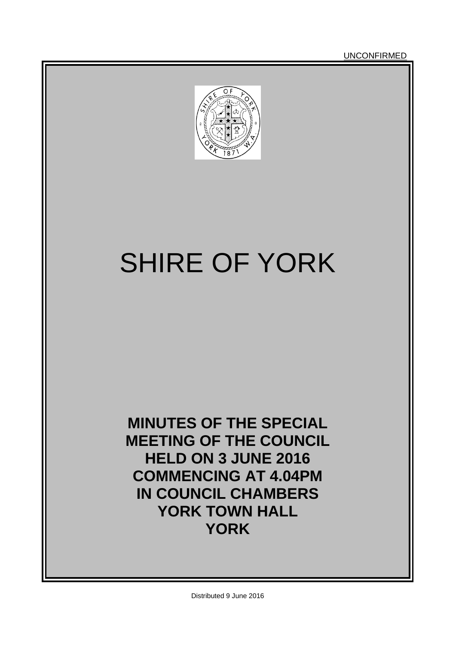**UNCONFIRMED** 



# SHIRE OF YORK

**MINUTES OF THE SPECIAL MEETING OF THE COUNCIL HELD ON 3 JUNE 2016 COMMENCING AT 4.04PM IN COUNCIL CHAMBERS YORK TOWN HALL YORK**

Distributed 9 June 2016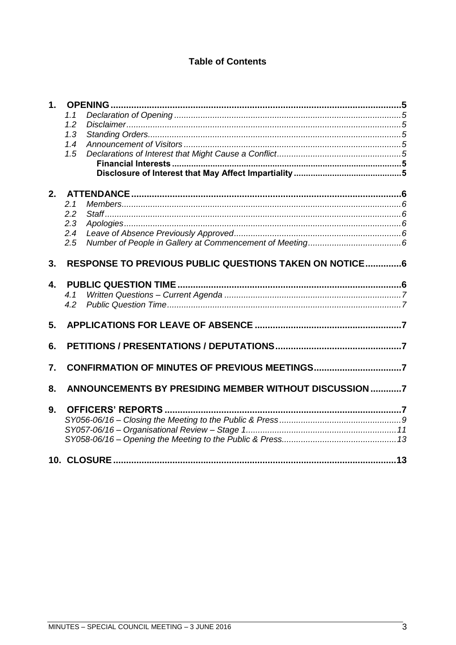### **Table of Contents**

| 1.                         |                                                                                                                                                                                                             |
|----------------------------|-------------------------------------------------------------------------------------------------------------------------------------------------------------------------------------------------------------|
| 1.1                        |                                                                                                                                                                                                             |
| 1.2                        |                                                                                                                                                                                                             |
| 1.3                        |                                                                                                                                                                                                             |
| 1.4                        |                                                                                                                                                                                                             |
| 1.5                        |                                                                                                                                                                                                             |
|                            |                                                                                                                                                                                                             |
|                            |                                                                                                                                                                                                             |
|                            |                                                                                                                                                                                                             |
|                            |                                                                                                                                                                                                             |
|                            |                                                                                                                                                                                                             |
|                            |                                                                                                                                                                                                             |
|                            |                                                                                                                                                                                                             |
| 2.5                        |                                                                                                                                                                                                             |
|                            |                                                                                                                                                                                                             |
| 3.                         |                                                                                                                                                                                                             |
|                            |                                                                                                                                                                                                             |
|                            |                                                                                                                                                                                                             |
|                            |                                                                                                                                                                                                             |
|                            |                                                                                                                                                                                                             |
| 5.                         |                                                                                                                                                                                                             |
|                            |                                                                                                                                                                                                             |
|                            |                                                                                                                                                                                                             |
|                            |                                                                                                                                                                                                             |
|                            |                                                                                                                                                                                                             |
|                            |                                                                                                                                                                                                             |
|                            |                                                                                                                                                                                                             |
|                            |                                                                                                                                                                                                             |
|                            |                                                                                                                                                                                                             |
|                            |                                                                                                                                                                                                             |
|                            |                                                                                                                                                                                                             |
| 2.<br>$\mathbf{4}$ .<br>9. | 2.1<br>2.2<br>2.3<br>2.4<br>RESPONSE TO PREVIOUS PUBLIC QUESTIONS TAKEN ON NOTICE6<br>4.1<br>4.2<br>CONFIRMATION OF MINUTES OF PREVIOUS MEETINGS7<br>ANNOUNCEMENTS BY PRESIDING MEMBER WITHOUT DISCUSSION 7 |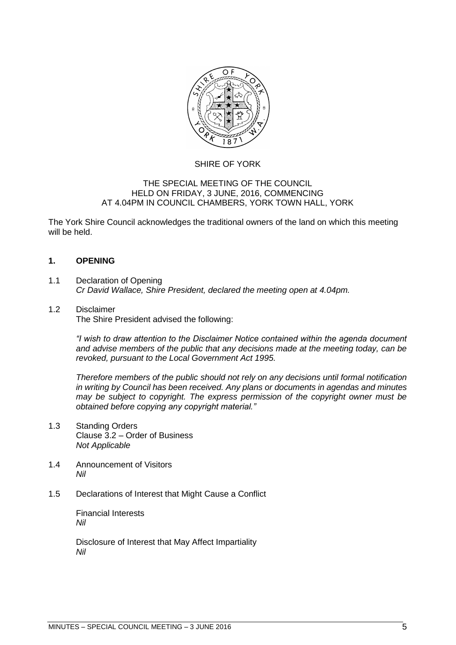

#### SHIRE OF YORK

#### THE SPECIAL MEETING OF THE COUNCIL HELD ON FRIDAY, 3 JUNE, 2016, COMMENCING AT 4.04PM IN COUNCIL CHAMBERS, YORK TOWN HALL, YORK

The York Shire Council acknowledges the traditional owners of the land on which this meeting will be held.

#### <span id="page-4-0"></span>**1. OPENING**

- <span id="page-4-1"></span>1.1 Declaration of Opening *Cr David Wallace, Shire President, declared the meeting open at 4.04pm.*
- <span id="page-4-2"></span>1.2 Disclaimer The Shire President advised the following:

*"I wish to draw attention to the Disclaimer Notice contained within the agenda document and advise members of the public that any decisions made at the meeting today, can be revoked, pursuant to the Local Government Act 1995.* 

*Therefore members of the public should not rely on any decisions until formal notification in writing by Council has been received. Any plans or documents in agendas and minutes may be subject to copyright. The express permission of the copyright owner must be obtained before copying any copyright material."*

- <span id="page-4-3"></span>1.3 Standing Orders Clause 3.2 – Order of Business *Not Applicable*
- <span id="page-4-4"></span>1.4 Announcement of Visitors *Nil*
- <span id="page-4-6"></span><span id="page-4-5"></span>1.5 Declarations of Interest that Might Cause a Conflict

Financial Interests *Nil*

<span id="page-4-7"></span>Disclosure of Interest that May Affect Impartiality *Nil*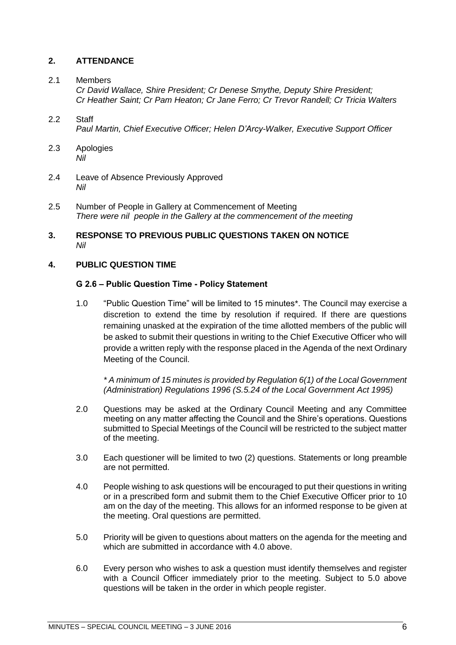#### <span id="page-5-0"></span>**2. ATTENDANCE**

#### <span id="page-5-1"></span>2.1 Members

*Cr David Wallace, Shire President; Cr Denese Smythe, Deputy Shire President; Cr Heather Saint; Cr Pam Heaton; Cr Jane Ferro; Cr Trevor Randell; Cr Tricia Walters*

#### <span id="page-5-2"></span>2.2 Staff *Paul Martin, Chief Executive Officer; Helen D'Arcy-Walker, Executive Support Officer*

- <span id="page-5-3"></span>2.3 Apologies *Nil*
- <span id="page-5-4"></span>2.4 Leave of Absence Previously Approved *Nil*
- <span id="page-5-5"></span>2.5 Number of People in Gallery at Commencement of Meeting *There were nil people in the Gallery at the commencement of the meeting*

#### <span id="page-5-6"></span>**3. RESPONSE TO PREVIOUS PUBLIC QUESTIONS TAKEN ON NOTICE** *Nil*

#### <span id="page-5-7"></span>**4. PUBLIC QUESTION TIME**

#### **G 2.6 – Public Question Time - Policy Statement**

1.0 "Public Question Time" will be limited to 15 minutes\*. The Council may exercise a discretion to extend the time by resolution if required. If there are questions remaining unasked at the expiration of the time allotted members of the public will be asked to submit their questions in writing to the Chief Executive Officer who will provide a written reply with the response placed in the Agenda of the next Ordinary Meeting of the Council.

*\* A minimum of 15 minutes is provided by Regulation 6(1) of the Local Government (Administration) Regulations 1996 (S.5.24 of the Local Government Act 1995)*

- 2.0 Questions may be asked at the Ordinary Council Meeting and any Committee meeting on any matter affecting the Council and the Shire's operations. Questions submitted to Special Meetings of the Council will be restricted to the subject matter of the meeting.
- 3.0 Each questioner will be limited to two (2) questions. Statements or long preamble are not permitted.
- 4.0 People wishing to ask questions will be encouraged to put their questions in writing or in a prescribed form and submit them to the Chief Executive Officer prior to 10 am on the day of the meeting. This allows for an informed response to be given at the meeting. Oral questions are permitted.
- 5.0 Priority will be given to questions about matters on the agenda for the meeting and which are submitted in accordance with 4.0 above
- 6.0 Every person who wishes to ask a question must identify themselves and register with a Council Officer immediately prior to the meeting. Subject to 5.0 above questions will be taken in the order in which people register.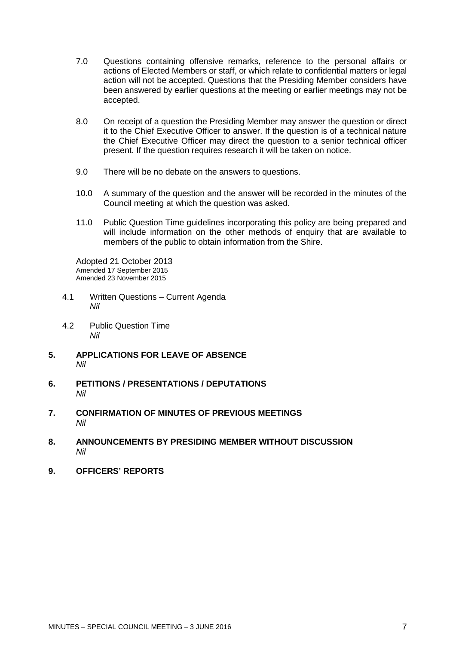- 7.0 Questions containing offensive remarks, reference to the personal affairs or actions of Elected Members or staff, or which relate to confidential matters or legal action will not be accepted. Questions that the Presiding Member considers have been answered by earlier questions at the meeting or earlier meetings may not be accepted.
- 8.0 On receipt of a question the Presiding Member may answer the question or direct it to the Chief Executive Officer to answer. If the question is of a technical nature the Chief Executive Officer may direct the question to a senior technical officer present. If the question requires research it will be taken on notice.
- 9.0 There will be no debate on the answers to questions.
- 10.0 A summary of the question and the answer will be recorded in the minutes of the Council meeting at which the question was asked.
- 11.0 Public Question Time guidelines incorporating this policy are being prepared and will include information on the other methods of enquiry that are available to members of the public to obtain information from the Shire.

Adopted 21 October 2013 Amended 17 September 2015 Amended 23 November 2015

- <span id="page-6-0"></span>4.1 Written Questions – Current Agenda *Nil*
- <span id="page-6-1"></span>4.2 Public Question Time *Nil*
- <span id="page-6-2"></span>**5. APPLICATIONS FOR LEAVE OF ABSENCE**  *Nil*
- <span id="page-6-3"></span>**6. PETITIONS / PRESENTATIONS / DEPUTATIONS** *Nil*
- <span id="page-6-4"></span>**7. CONFIRMATION OF MINUTES OF PREVIOUS MEETINGS**  *Nil*
- <span id="page-6-5"></span>**8. ANNOUNCEMENTS BY PRESIDING MEMBER WITHOUT DISCUSSION** *Nil*
- <span id="page-6-6"></span>**9. OFFICERS' REPORTS**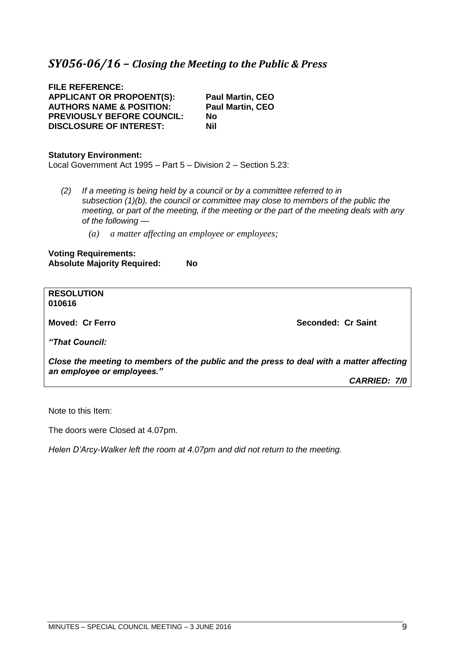<span id="page-8-0"></span>**FILE REFERENCE: APPLICANT OR PROPOENT(S): Paul Martin, CEO AUTHORS NAME & POSITION: PREVIOUSLY BEFORE COUNCIL: No DISCLOSURE OF INTEREST: Nil**

#### **Statutory Environment:**

Local Government Act 1995 – Part 5 – Division 2 – Section 5.23:

- *(2) If a meeting is being held by a council or by a committee referred to in subsection (1)(b), the council or committee may close to members of the public the meeting, or part of the meeting, if the meeting or the part of the meeting deals with any of the following —*
	- *(a) a matter affecting an employee or employees;*

**Voting Requirements: Absolute Majority Required: No**

**RESOLUTION 010616**

**Moved: Cr Ferro Seconded: Cr Saint**

*"That Council:*

*Close the meeting to members of the public and the press to deal with a matter affecting an employee or employees."*

*CARRIED: 7/0*

Note to this Item:

The doors were Closed at 4.07pm.

*Helen D'Arcy-Walker left the room at 4.07pm and did not return to the meeting.*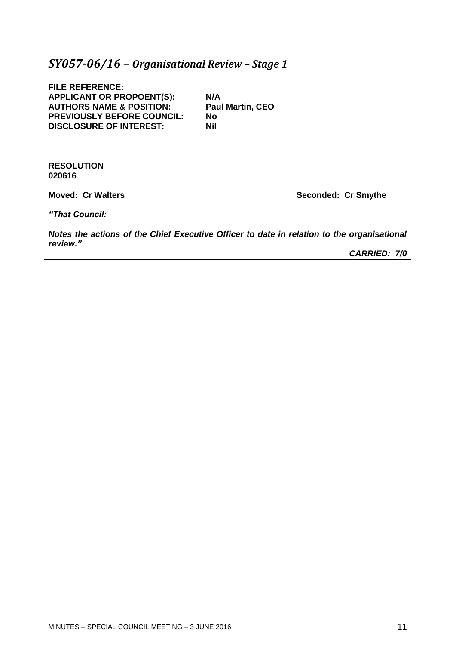## <span id="page-10-0"></span>*SY057-06/16 – Organisational Review – Stage 1*

**FILE REFERENCE: APPLICANT OR PROPOENT(S): N/A AUTHORS NAME & POSITION: PREVIOUSLY BEFORE COUNCIL: No DISCLOSURE OF INTEREST: Nil**

**RESOLUTION 020616**

**Moved: Cr Walters Seconded: Cr Smythe**

*"That Council:*

*Notes the actions of the Chief Executive Officer to date in relation to the organisational review."*

*CARRIED: 7/0*